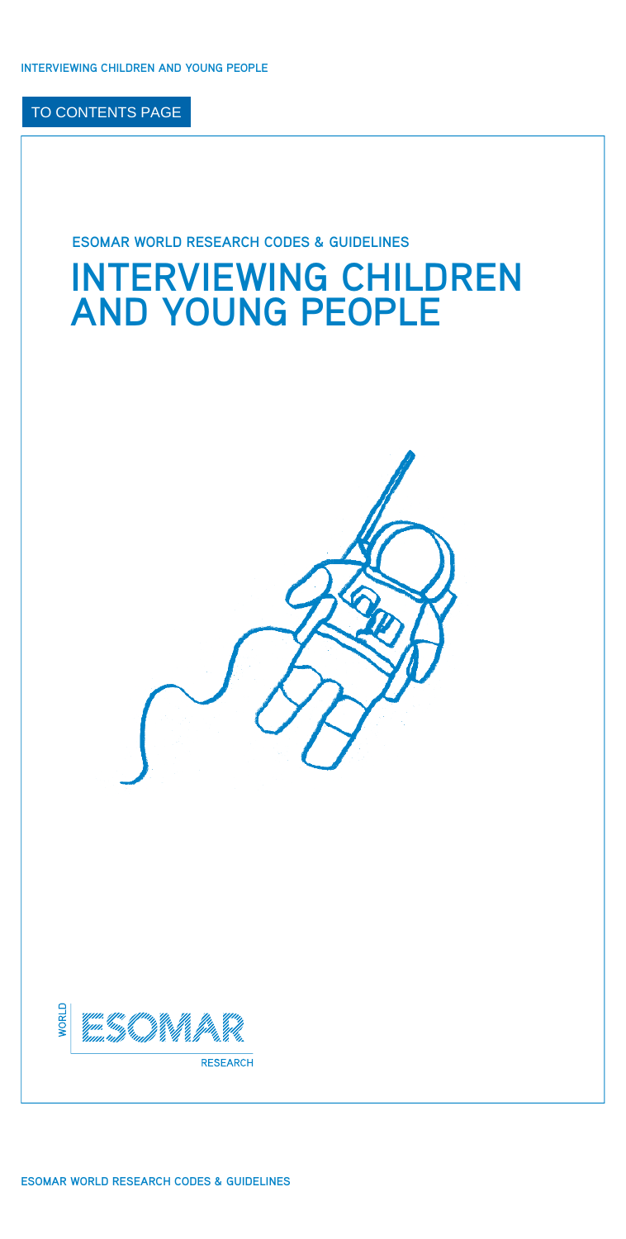## **ESOMAR WORLD RESEARCH CODES & GUIDELINES**

# **INTERVIEWING CHILDREN AND YOUNG PEOPLE**

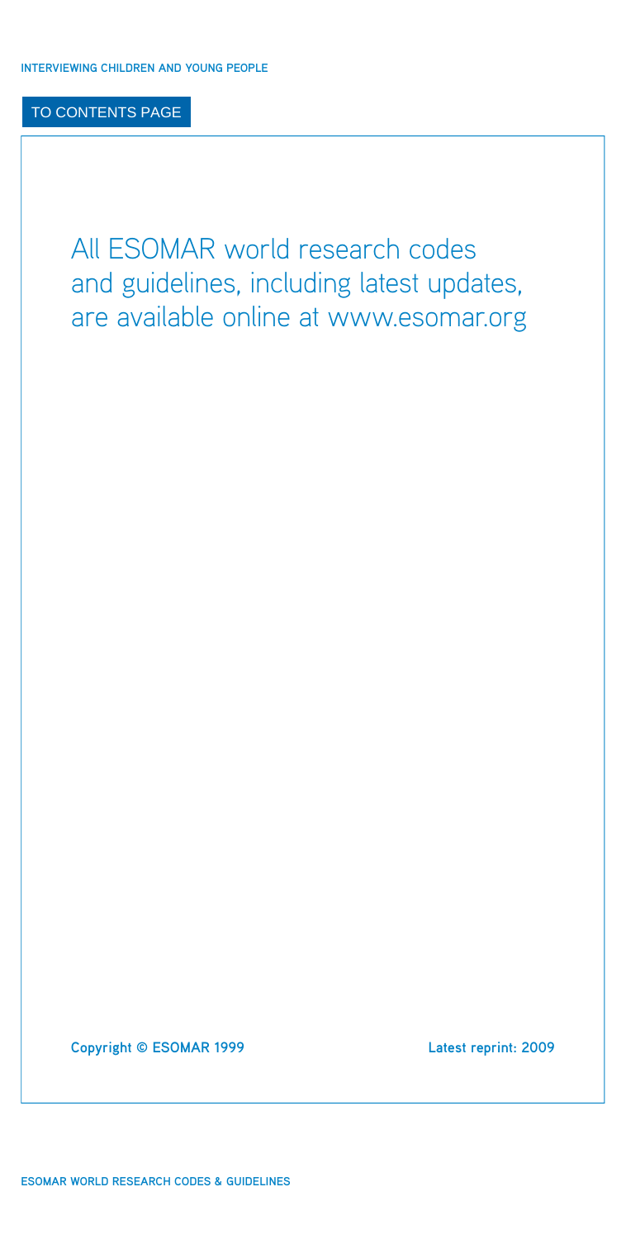All ESOMAR world research codes and guidelines, including latest updates, are available online at [www.esomar.org](http://www.esomar.org)

**Copyright © ESOMAR 1999 Latest reprint: 2009**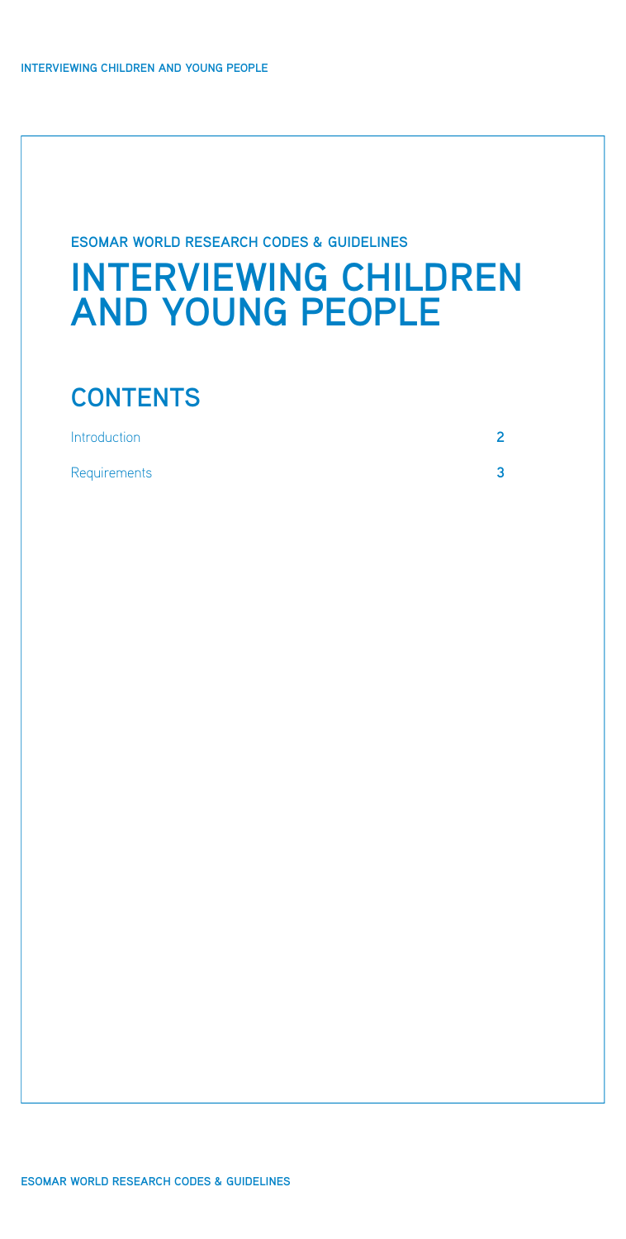## **ESOMAR WORLD RESEARCH CODES & GUIDELINES**

## **INTERVIEWING CHILDREN AND YOUNG PEOPLE**

## **CONTENTS**

| Introduction | ⌒ |
|--------------|---|
| Requirements |   |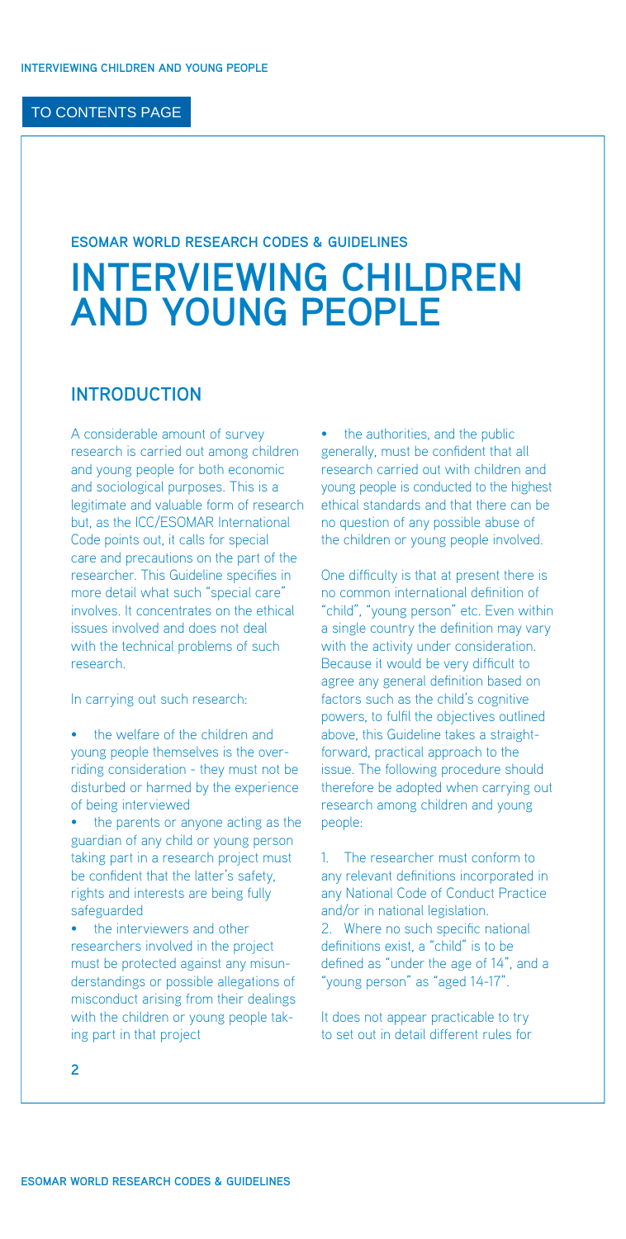#### <span id="page-3-0"></span>**ESOMAR WORLD RESEARCH CODES & GUIDELINES**

## **INTERVIEWING CHILDREN AND YOUNG PEOPLE**

## **INTRODUCTION**

A considerable amount of survey research is carried out among children and young people for both economic and sociological purposes. This is a legitimate and valuable form of research [but, as the ICC/ESOMAR International](http://www.esomar.org/uploads/pdf/professional-standards/ICCESOMAR_Code_English_.pdf) Code points out, it calls for special care and precautions on the part of the researcher. This Guideline specifies in more detail what such "special care" involves. It concentrates on the ethical issues involved and does not deal with the technical problems of such research.

In carrying out such research:

- the welfare of the children and young people themselves is the overriding consideration - they must not be disturbed or harmed by the experience of being interviewed
- the parents or anyone acting as the guardian of any child or young person taking part in a research project must be confident that the latter's safety, rights and interests are being fully safeguarded
- the interviewers and other researchers involved in the project must be protected against any misunderstandings or possible allegations of misconduct arising from their dealings with the children or young people taking part in that project

the authorities, and the public generally, must be confident that all research carried out with children and young people is conducted to the highest ethical standards and that there can be no question of any possible abuse of the children or young people involved.

One difficulty is that at present there is no common international definition of "child", "young person" etc. Even within a single country the definition may vary with the activity under consideration. Because it would be very difficult to agree any general definition based on factors such as the child's cognitive powers, to fulfil the objectives outlined above, this Guideline takes a straightforward, practical approach to the issue. The following procedure should therefore be adopted when carrying out research among children and young people:

1. The researcher must conform to any relevant definitions incorporated in any National Code of Conduct Practice and/or in national legislation. 2. Where no such specific national definitions exist, a "child" is to be defined as "under the age of 14", and a "young person" as "aged 14-17".

It does not appear practicable to try to set out in detail different rules for

**2**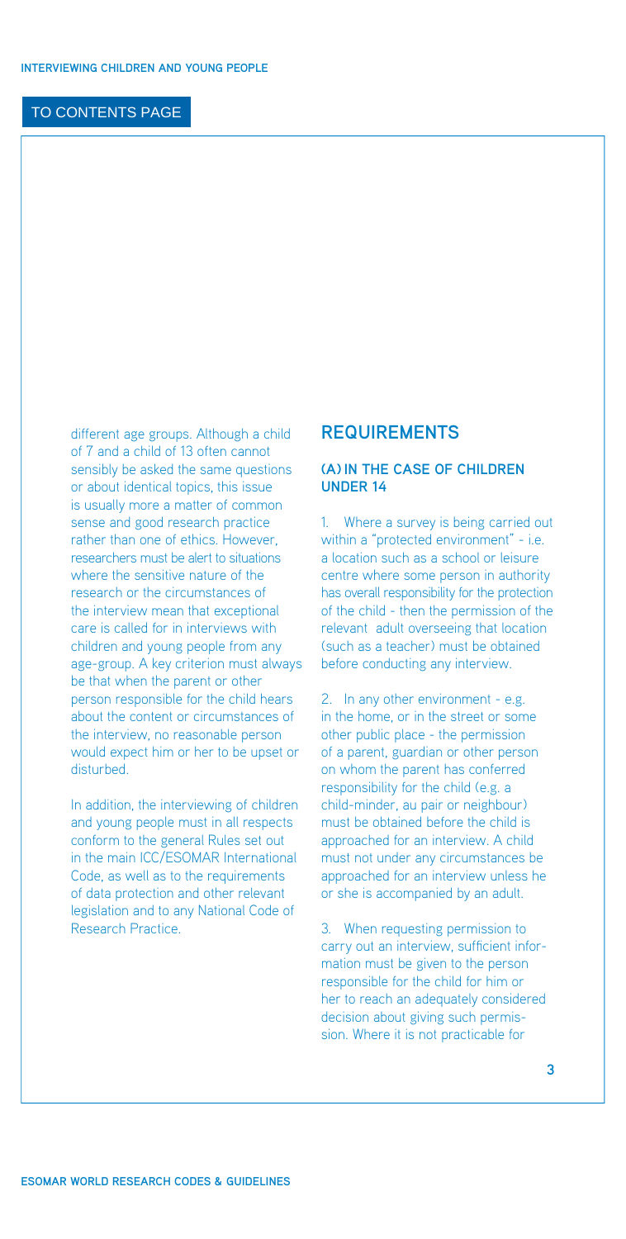<span id="page-4-0"></span>different age groups. Although a child of 7 and a child of 13 often cannot sensibly be asked the same questions or about identical topics, this issue is usually more a matter of common sense and good research practice rather than one of ethics. However, researchers must be alert to situations where the sensitive nature of the research or the circumstances of the interview mean that exceptional care is called for in interviews with children and young people from any age-group. A key criterion must always be that when the parent or other person responsible for the child hears about the content or circumstances of the interview, no reasonable person would expect him or her to be upset or disturbed.

In addition, the interviewing of children and young people must in all respects conform to the general Rules set out [in the main ICC/ESOMAR International](http://www.esomar.org/uploads/pdf/professional-standards/ICCESOMAR_Code_English_.pdf)  Code, as well as to the requirements of data protection and other relevant legislation and to any National Code of Research Practice.

### **REQUIREMENTS**

#### **(a) In the case of children under 14**

1. Where a survey is being carried out within a "protected environment" - i.e. a location such as a school or leisure centre where some person in authority has overall responsibility for the protection of the child - then the permission of the relevant adult overseeing that location (such as a teacher) must be obtained before conducting any interview.

2. In any other environment - e.g. in the home, or in the street or some other public place - the permission of a parent, guardian or other person on whom the parent has conferred responsibility for the child (e.g. a child-minder, au pair or neighbour) must be obtained before the child is approached for an interview. A child must not under any circumstances be approached for an interview unless he or she is accompanied by an adult.

3. When requesting permission to carry out an interview, sufficient information must be given to the person responsible for the child for him or her to reach an adequately considered decision about giving such permission. Where it is not practicable for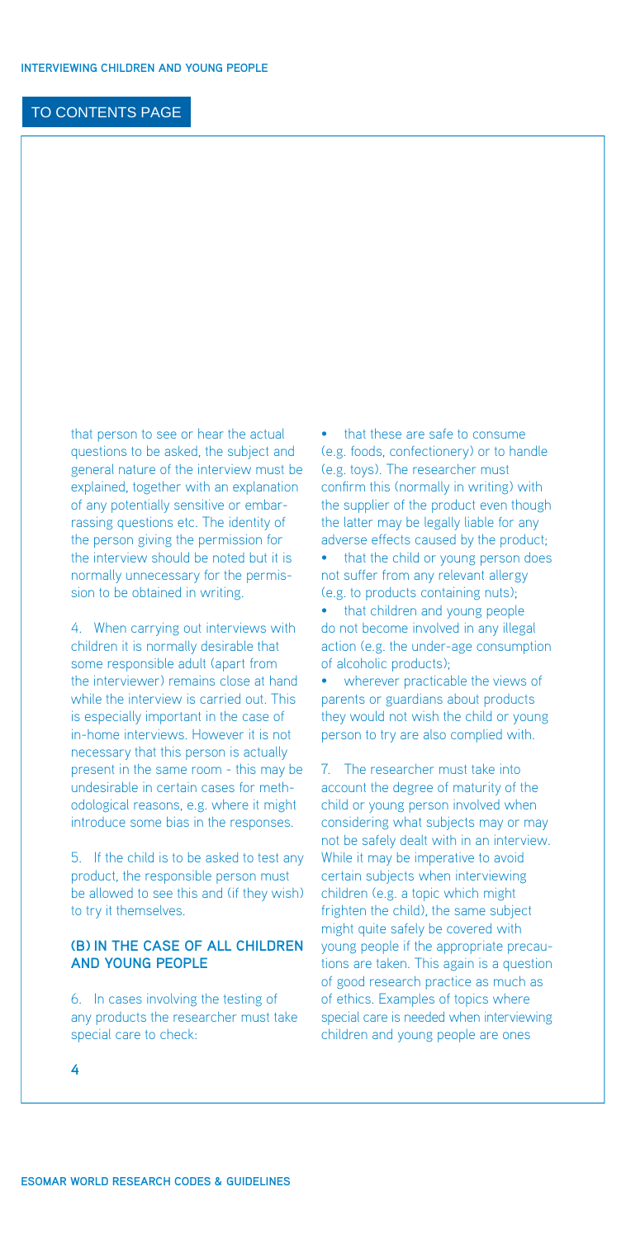that person to see or hear the actual questions to be asked, the subject and general nature of the interview must be explained, together with an explanation of any potentially sensitive or embarrassing questions etc. The identity of the person giving the permission for the interview should be noted but it is normally unnecessary for the permission to be obtained in writing.

4. When carrying out interviews with children it is normally desirable that some responsible adult (apart from the interviewer) remains close at hand while the interview is carried out. This is especially important in the case of in-home interviews. However it is not necessary that this person is actually present in the same room - this may be undesirable in certain cases for methodological reasons, e.g. where it might introduce some bias in the responses.

5. If the child is to be asked to test any product, the responsible person must be allowed to see this and (if they wish) to try it themselves.

#### **(b) In the case of ALL children and young people**

6. In cases involving the testing of any products the researcher must take special care to check:

• that these are safe to consume (e.g. foods, confectionery) or to handle (e.g. toys). The researcher must confirm this (normally in writing) with the supplier of the product even though the latter may be legally liable for any adverse effects caused by the product;

• that the child or young person does not suffer from any relevant allergy (e.g. to products containing nuts);

• that children and young people do not become involved in any illegal action (e.g. the under-age consumption of alcoholic products);

• wherever practicable the views of parents or guardians about products they would not wish the child or young person to try are also complied with.

7. The researcher must take into account the degree of maturity of the child or young person involved when considering what subjects may or may not be safely dealt with in an interview. While it may be imperative to avoid certain subjects when interviewing children (e.g. a topic which might frighten the child), the same subject might quite safely be covered with young people if the appropriate precautions are taken. This again is a question of good research practice as much as of ethics. Examples of topics where special care is needed when interviewing children and young people are ones

**4**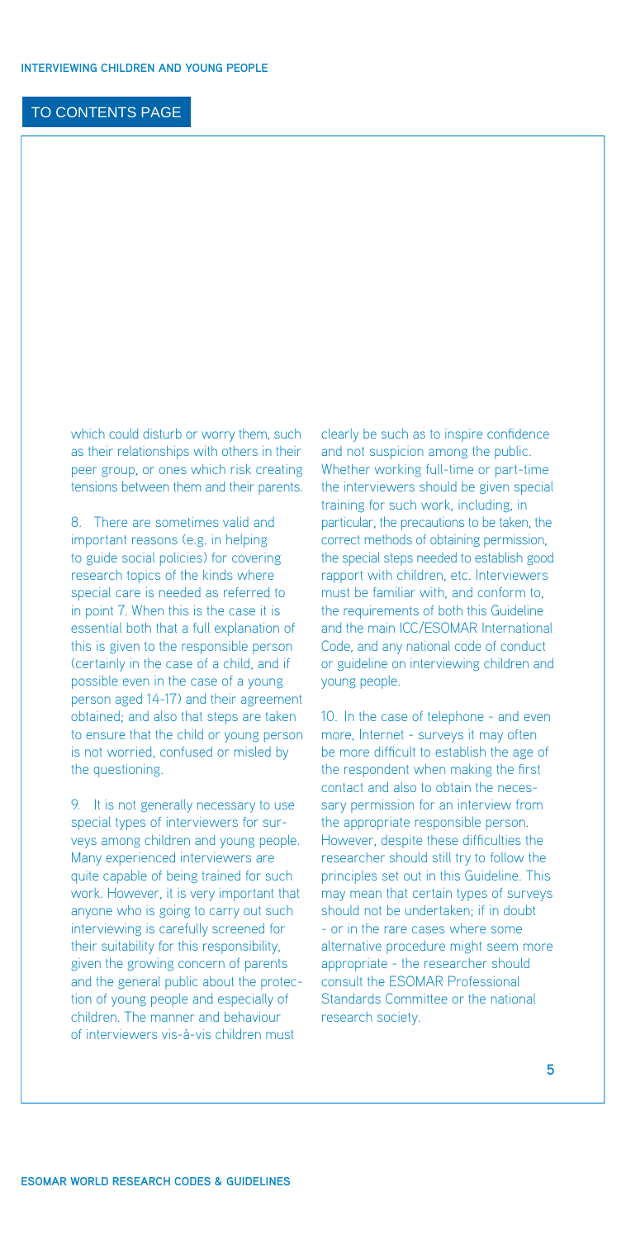which could disturb or worry them, such as their relationships with others in their peer group, or ones which risk creating tensions between them and their parents.

8. There are sometimes valid and important reasons (e.g. in helping to guide social policies) for covering research topics of the kinds where special care is needed as referred to in point 7. When this is the case it is essential both that a full explanation of this is given to the responsible person (certainly in the case of a child, and if possible even in the case of a young person aged 14-17) and their agreement obtained; and also that steps are taken to ensure that the child or young person is not worried, confused or misled by the questioning.

9. It is not generally necessary to use special types of interviewers for surveys among children and young people. Many experienced interviewers are quite capable of being trained for such work. However, it is very important that anyone who is going to carry out such interviewing is carefully screened for their suitability for this responsibility, given the growing concern of parents and the general public about the protection of young people and especially of children. The manner and behaviour of interviewers vis-à-vis children must

clearly be such as to inspire confidence and not suspicion among the public. Whether working full-time or part-time the interviewers should be given special training for such work, including, in particular, the precautions to be taken, the correct methods of obtaining permission, the special steps needed to establish good rapport with children, etc. Interviewers must be familiar with, and conform to, the requirements of both this Guideline [and the main ICC/ESOMAR International](http://www.esomar.org/uploads/pdf/professional-standards/ICCESOMAR_Code_English_.pdf)  Code, and any national code of conduct or guideline on interviewing children and young people.

10. In the case of telephone - and even more, Internet - surveys it may often be more difficult to establish the age of the respondent when making the first contact and also to obtain the necessary permission for an interview from the appropriate responsible person. However, despite these difficulties the researcher should still try to follow the principles set out in this Guideline. This may mean that certain types of surveys should not be undertaken; if in doubt - or in the rare cases where some alternative procedure might seem more appropriate - the researcher should [consult the ESOMAR Professional](http://www.esomar.org/index.php/professional-standards.html) Standards Committee or the national research society.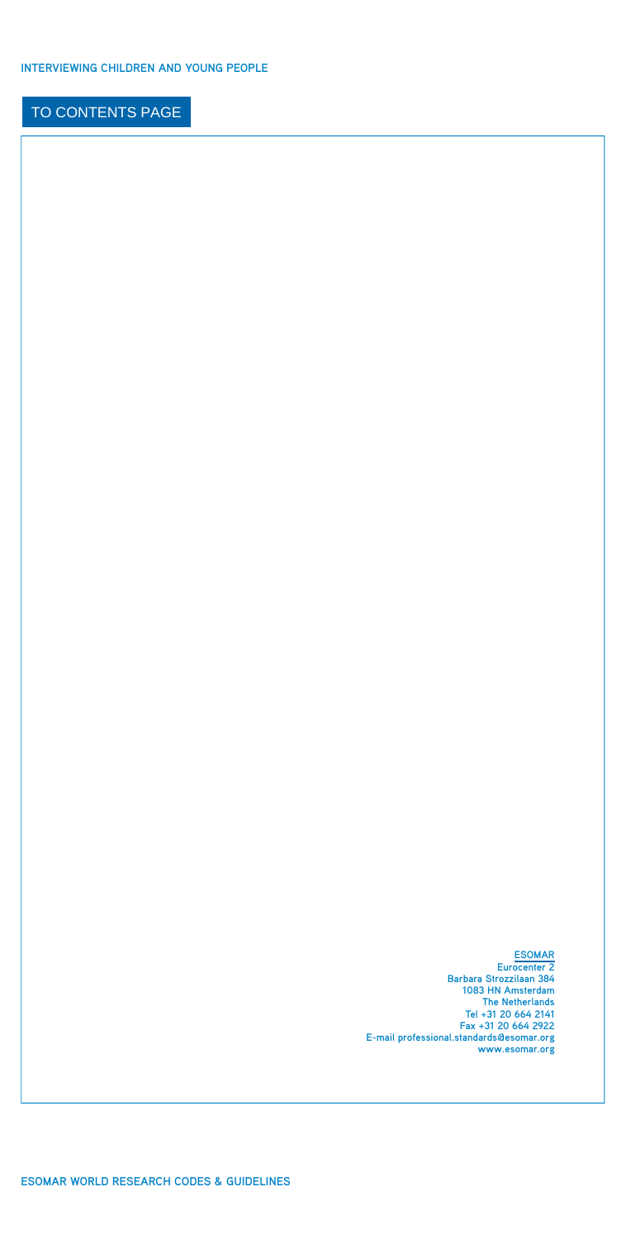**[ESOMAR](http://www.esomar.org/index.php/contact.html) Eurocenter 2 Barbara Strozzilaan 384 1083 HN Amsterdam The Netherlands Tel +31 20 664 2141 Fax +31 20 664 2922 E-mail professional.[standards@esomar.org](mailto:standards@esomar.org)  [www.esomar.org](http://www.esomar.org)**